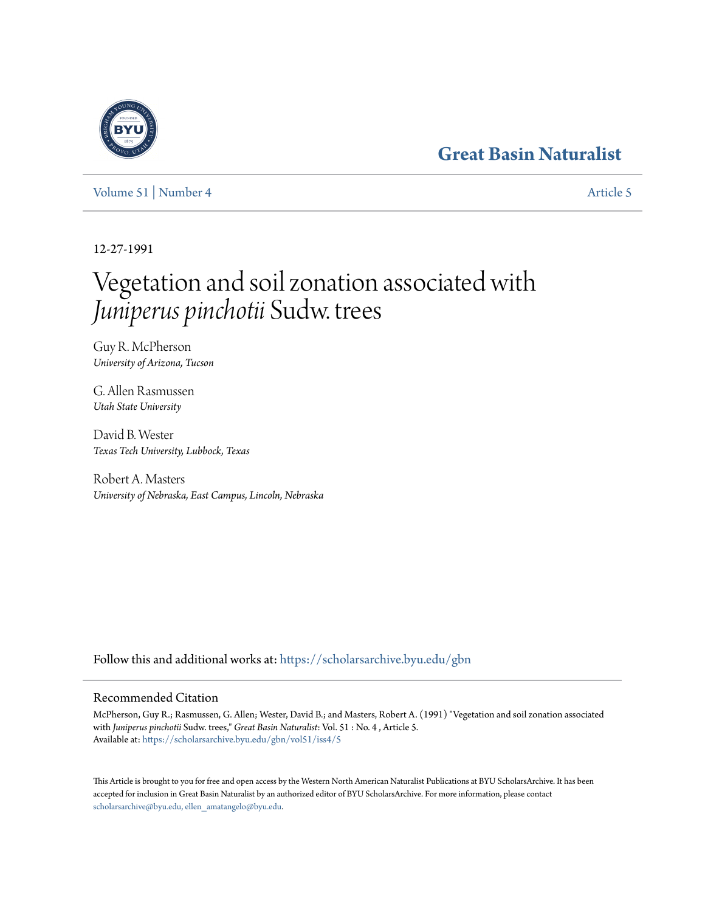# **[Great Basin Naturalist](https://scholarsarchive.byu.edu/gbn?utm_source=scholarsarchive.byu.edu%2Fgbn%2Fvol51%2Fiss4%2F5&utm_medium=PDF&utm_campaign=PDFCoverPages)**

[Volume 51](https://scholarsarchive.byu.edu/gbn/vol51?utm_source=scholarsarchive.byu.edu%2Fgbn%2Fvol51%2Fiss4%2F5&utm_medium=PDF&utm_campaign=PDFCoverPages) | [Number 4](https://scholarsarchive.byu.edu/gbn/vol51/iss4?utm_source=scholarsarchive.byu.edu%2Fgbn%2Fvol51%2Fiss4%2F5&utm_medium=PDF&utm_campaign=PDFCoverPages) [Article 5](https://scholarsarchive.byu.edu/gbn/vol51/iss4/5?utm_source=scholarsarchive.byu.edu%2Fgbn%2Fvol51%2Fiss4%2F5&utm_medium=PDF&utm_campaign=PDFCoverPages)

12-27-1991

# Vegetation and soil zonation associated with *Juniperus pinchotii* Sudw. trees

Guy R. McPherson *University of Arizona, Tucson*

G. Allen Rasmussen *Utah State University*

David B. Wester *Texas Tech University, Lubbock, Texas*

Robert A. Masters *University of Nebraska, East Campus, Lincoln, Nebraska*

Follow this and additional works at: [https://scholarsarchive.byu.edu/gbn](https://scholarsarchive.byu.edu/gbn?utm_source=scholarsarchive.byu.edu%2Fgbn%2Fvol51%2Fiss4%2F5&utm_medium=PDF&utm_campaign=PDFCoverPages)

# Recommended Citation

McPherson, Guy R.; Rasmussen, G. Allen; Wester, David B.; and Masters, Robert A. (1991) "Vegetation and soil zonation associated with *Juniperus pinchotii* Sudw. trees," *Great Basin Naturalist*: Vol. 51 : No. 4 , Article 5. Available at: [https://scholarsarchive.byu.edu/gbn/vol51/iss4/5](https://scholarsarchive.byu.edu/gbn/vol51/iss4/5?utm_source=scholarsarchive.byu.edu%2Fgbn%2Fvol51%2Fiss4%2F5&utm_medium=PDF&utm_campaign=PDFCoverPages)

This Article is brought to you for free and open access by the Western North American Naturalist Publications at BYU ScholarsArchive. It has been accepted for inclusion in Great Basin Naturalist by an authorized editor of BYU ScholarsArchive. For more information, please contact [scholarsarchive@byu.edu, ellen\\_amatangelo@byu.edu.](mailto:scholarsarchive@byu.edu,%20ellen_amatangelo@byu.edu)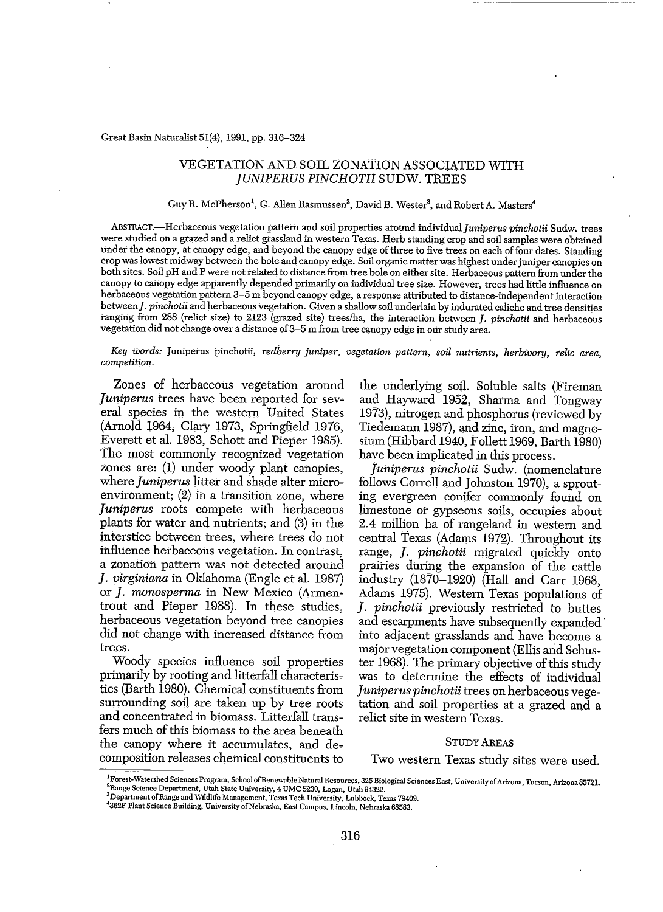#### Great Basin Naturalist 51(4), 1991, pp. 316-324

# VEGETAT10N AND SOIL ZONATION ASSOCIATED WITH *JUNIPERUS PINCHOTII* SUDW. TREES

#### Guy R. McPherson<sup>1</sup>, G. Allen Rasmussen<sup>2</sup>, David B. Wester<sup>3</sup>, and Robert A. Masters

ABSTRAcr.~Herbaceolisvegetation pattern and soil properties around individual]uniperus *pinchotii* Sudw. trees were studied on a grazed and a relict grassland in western Texas. Herb standing crop and soil samples were obtained under the canopy, at canopy edge, and beyond the canopy edge of three to five trees on each of four dates. Standing crop waslowest midway between the bole and canopy edge. Soil organic matterwas highest underjuniper canopies on both sites. Soil pH and P were not related to distance from tree bole on either site. Herbaceous pattern from under the canopy to canopy edge apparently depended primarily on individual tree size. However, trees had little influence on herbaceous vegetation pattern 3-5 m beyond canopy edge, a response attributed to distance-independent interaction between]. *pinchotii* and herbaceous vegetation. Given a shallow soil underlain by indurated caliche and tree densities ranging from 288 (relict size) to 2123 (grazed site) treeslha, the interaction between]. *pinchotii* and herbaceous vegetation did not change over a distance of3-5 m from tree canopy edge in ourstudy area.

*Key words:* Juniperus pinchotii, *redberry juniper*, *vegetation pattern, soil nutrients, herbivory, relic area, competition.*

Zones of herbaceous vegetation around *Juniperus* trees have been reported for several species in the western United States (Arnold 1964, Clary 1973, Springfield 1976, Everett et al. 1983, Schott and Pieper 1985). The most commonly recognized vegetation zones are: (1) under woody plant canopies, where *juniperus* litter and shade alter microenvironment; (2) in a transition zone, where *juniperus* roots compete with herbaceous plants for water and nutrients; and (3) in the interstice between trees, where trees do not influence herbaceous vegetation. In contrast, a zonation pattern was not detected around *j. virginiana* in Oklahoma (Engle et al. 1987) or ]. *monosperma* in New Mexico (Armen~ trout and Pieper 1988). In these studies, herbaceous vegetation beyond tree canopies did not change with increased distance from trees.

Woody species influence soil properties primarily by rooting and litterfall characteris~ tics (Barth 1980). Chemical constituents from surrounding soil are taken up by tree roots and concentrated in biomass. Litterfall transfers much of this biomass to the area beneath the canopy where it accumulates, and decomposition releases chemical constituents to

the underlying soil. Soluble salts (Fireman and Hayward 1952, Sharma and Tongway 1973), nitrogen and phosphorus (reviewed by Tiedemann 1987), and zinc, iron, and magnesium (Hibbard 1940, Follett 1969, Barth 1980) have been implicated in this process.

*Juniperus pinchotii* Sudw. (nomenclature follows Correll and Johnston 1970), a sprouting evergreen conifer commonly found on limestone or gypseous soils, occupies about 2.4 million ha of rangeland in western and central Texas (Adams 1972). Throughout its range, *J. pinchotii* migrated quickly onto prairies during the expansion of the cattle industry  $(1870-1920)$  (Hall and Carr 1968, Adams 1975). Western Texas populations of ]. *pinchotii* previously restricted to buttes and escarpments have subsequently expanded' into adjacent grasslands and have become a major vegetation component (Ellis and Schuster 1968). The primary objective of this study was to determine the effects of individual *juniperus pinchotii* trees on herbaceous vegetation and soil properties at a grazed and a relict site in western Texas.

#### STUDY AREAS

#### Two western Texas study sites were used.

<sup>&</sup>lt;sup>1</sup>Forest-Watershed Sciences Program, School of Renewable Natural Resources, 325 Biological Sciences East, University of Arizona, Tucson, Arizona 85721. <sup>2</sup>Range Science Department, Utah State University, 4 UMC 5230, Logan, Utah 94322.

**<sup>3</sup>Department arRange and Wildlife Management, Te.'l:us Tech University, Lubbock, Texas 79409.**

<sup>4362</sup>F Plant Science Building, University of Nebraska, East Campus, Lincoln, Nebraska 68583.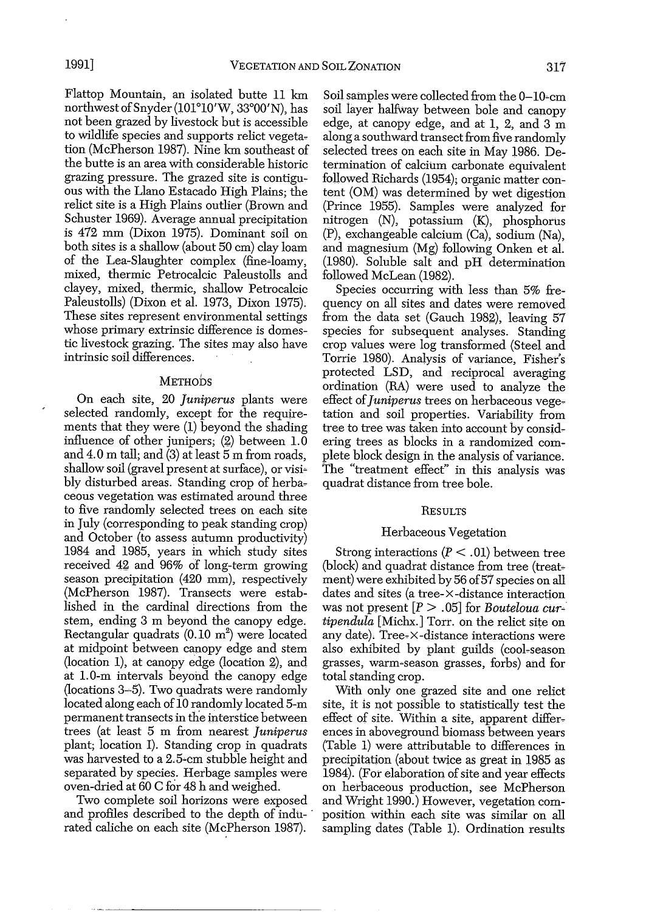Flattop Mountain, an isolated butte 11 km northwest of Snyder (101°10'W, 33°00'N), has not been grazed by livestock but is accessible to wildlife species and supports relict vegetation (McPherson 1987). Nine km southeast of the butte is an area With considerable historic grazing pressure. The grazed site is contiguous With the Llano Estacado High Plains; the relict site is a High Plains outlier (Brown and Schuster 1969). Average annual precipitation is 412 mm (Dixon 1975). Dominant soil on both sites is a shallow (about 50 cm) clay loam of the Lea-Slaughter complex (fine~loamy, mixed, thermic Petrocalcic Paleustolls and clayey, mixed, thermic, shallow Petrocalcic Paleustolls) (Dixon et al. 1973, Dixon 1975). These sites represent environmental settings whose primary extrinsic difference is domestic livestock grazing. The sites may also have intrinsic soil differences.

## METHODS

On each site, 20 *juniperus* plants were selected randomly, except for the requirements that they were (1) beyond the shading influence of other junipers; (2) between 1.0 and 4.0 m tall; and (3) at least 5 m from roads, shallow soil (gravel present at surface), or visi~ bly disturbed areas. Standing crop of herbaceous vegetation was estimated around three to five randomly selected trees on each site in July (corresponding to peak standing crop) and October (to assess autumn productivity) 1984 and 1985, years in which study sites received 42 and 96% of long-term growing season precipitation (420 mm), respectively (McPherson 1987). Transects were established in the cardinal directions from the stem, ending 3 m beyond the canopy edge. Rectangular quadrats (0.10  $\text{m}^2$ ) were located at midpoint between canopy edge and stem (location 1), at canopy edge (location 2), and at 1.0-m intervals beyond the canopy edge (locations 3~5). Two quadrats were randomly located along each of 10 randomly located 5-m permanent transects in the interstice between trees (at least 5 m from nearest *juniperus* plant; location I). Standing crop in quadrats was harvested to a 2.5~cm stubble height and separated by species. Herbage samples were oven-dried at 60 C for 48 h and weighed.

Two complete soil horizons were exposed and profiles described to the depth of indu- . rated caliche on each site (McPherson 1987).

Soil samples were collected from the 0-10~cm soil layer halfway between boie and canopy edge, at canopy edge, and at 1, 2, and 3 m along a southward transect from five randomly selected trees on each site in May 1986. Determination of calcium carbonate equivalent followed Richards (1954); organic matter content (OM) was determined by wet digestion (Prince 1955). Samples were analyzed for nitrogen (N), potassium (K), phosphorus (P), exchangeable calcium (Ca), sodium (Na), and magnesium (Mg) following Onken et al. (1980). Soluble salt and pH determination followed McLean (1982).

Species occurring With less than 5% frequency on all sites and dates were removed from the data set (Gauch 1982), leaving 57 species for subsequent analyses. Standing crop values were log transformed (Steel and Torrie 1980). Analysis of variance, Fisher's protected LSD, and reciprocal averaging ordination (RA) were used to analyze the effect of*juniperus* trees on herbaceous vege~ tation and soil properties. Variability from tree to tree was taken into account by considering trees as blocks in a randomized complete block design in the analysis of variance. The "treatment effect" in this analysis Was quadrat distance from tree bole.

#### RESULTS

#### Herbaceous Vegetation

Strong interactions  $(P < .01)$  between tree (block) and quadrat distance from tree (treatment) were exhibited by 56 of 57 species on all dates and sites (a tree-x-distance interaction was not present  $[P > .05]$  for *Bouteloua curtipendula* [Michx.] Torr. on the relict site on any date). Tree~x-distance interactions were also exhibited by plant guilds (cool~season grasses, warm~season grasses, forbs) and for total standing crop.

With only one grazed site and one relict site, it is not possible to statistically test the effect of site. Within a site, apparent differences in aboveground biomass between years (Table 1) were attributable to differences in precipitation (about twice as great in 1985 as 1984). (For elaboration of site and year effects on herbaceous production, see McPherson and Wright 1990.) However, vegetation composition Within each site was similar on all sampling dates (Table 1). Ordination results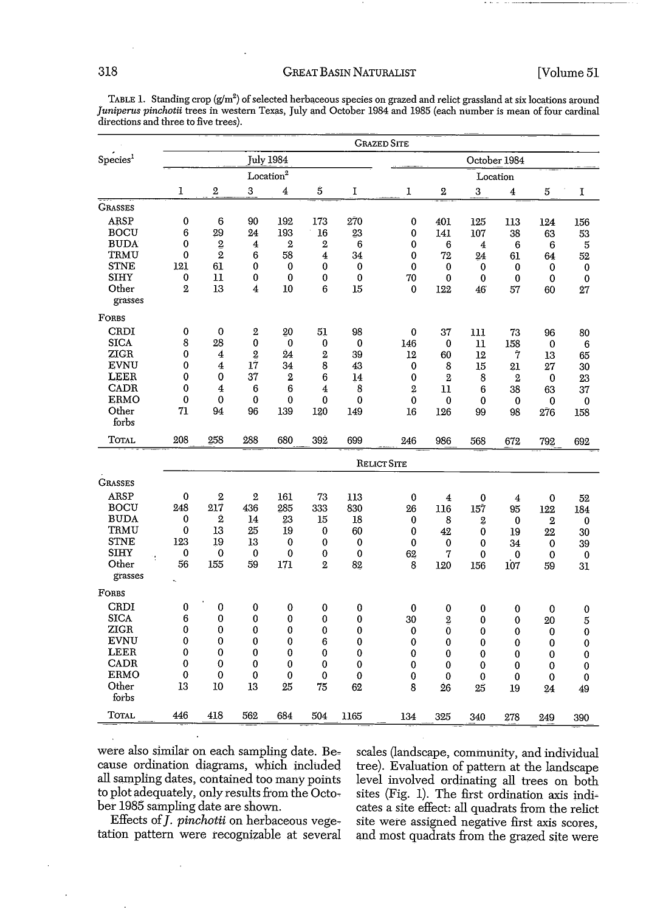# 318 GREAT BASIN NATURALIST [Volume 51

|                      |                       | <b>GRAZED SITE</b> |                         |                  |                  |             |                |                  |                  |                         |             |             |
|----------------------|-----------------------|--------------------|-------------------------|------------------|------------------|-------------|----------------|------------------|------------------|-------------------------|-------------|-------------|
| Species <sup>1</sup> | <b>July 1984</b>      |                    |                         |                  |                  |             |                | October 1984     |                  |                         |             |             |
|                      | Location <sup>2</sup> |                    |                         |                  |                  |             |                | Location         |                  |                         |             |             |
|                      | $\bf{l}$              | $\overline{2}$     | 3                       | 4                | $\mathbf S$      | $\mathbf I$ | 1              | $\boldsymbol{2}$ | 3                | $\overline{\mathbf{4}}$ | 5           | I           |
| <b>GRASSES</b>       |                       |                    |                         |                  |                  |             |                |                  |                  |                         |             |             |
| ARSP                 | $\bf{0}$              | 6                  | 90                      | 192              | 173              | 270         | $\bf{0}$       | 401              | 125              | 113                     | 124         | 156         |
| <b>BOCU</b>          | 6                     | 29                 | 24                      | 193              | 16               | 23          | 0              | 141              | 107              | 38                      | 63          | 53          |
| <b>BUDA</b>          | 0                     | $\overline{2}$     | $\overline{\mathbf{4}}$ | $\boldsymbol{2}$ | $\boldsymbol{2}$ | 6           | 0              | 6                | $\boldsymbol{4}$ | 6                       | 6           | 5           |
| TRMU                 | 0                     | $\overline{2}$     | 6                       | 58               | 4                | 34          | 0              | 72               | 24               | 61                      | 64          | 52          |
| <b>STNE</b>          | 121                   | 61                 | 0                       | 0                | 0                | $\bf{0}$    | $\bf{0}$       | $\bf{0}$         | $\bf{0}$         | 0                       | 0           | 0           |
| <b>SIHY</b>          | 0                     | 11                 | 0                       | 0                | 0                | 0           | 70             | 0                | $\bf{0}$         | 0                       | 0           | 0           |
| Other<br>grasses     | $\,2\,$               | 13                 | 4                       | 10               | 6                | 15          | 0              | 122              | 46               | 57                      | 60          | 27          |
| FORBS                |                       |                    |                         |                  |                  |             |                |                  |                  |                         |             |             |
| CRDI                 | $\bf{0}$              | $\mathbf 0$        | $\mathbf{2}$            | 20               | 51               | 98          | 0              | 37               | 111              | 73                      | 96          | 80          |
| <b>SICA</b>          | 8                     | 28                 | 0                       | 0                | 0                | 0           | 146            | 0                | 11               | 158                     | 0           | 6           |
| ZIGR                 | 0                     | 4                  | $\overline{2}$          | 24               | $\mathbf{2}$     | 39          | 12             | 60               | 12               | 7                       | 13          | 65          |
| EVNU                 | 0                     | 4                  | 17                      | 34               | 8                | 43          | 0              | 8                | 15               | 21                      | 27          | 30          |
| LEER                 | 0                     | $\bf{0}$           | 37                      | $\mathbf{2}$     | 6                | 14          | 0              | $\overline{2}$   | 8                | $\mathbf{2}$            | $\mathbf 0$ | 23          |
| CADR                 | $\bf{0}$              | 4                  | 6                       | 6                | 4                | 8           | $\overline{2}$ | 11               | 6                | 38                      | 63          | 37          |
| ERMO                 | 0                     | $\bf{0}$           | 0                       | $\bf{0}$         | 0                | 0           | $\mathbf 0$    | 0                | 0                | 0                       | 0           | $\bf{0}$    |
| Other<br>forbs       | 71                    | 94                 | 96                      | 139              | 120              | 149         | 16             | 126              | 99               | 98                      | 276         | 158         |
| Total                | 208                   | 258                | 288                     | 680              | 392              | 699         | 246            | 986              | 568              | 672                     | 792         | 692         |
|                      |                       | <b>RELICT SITE</b> |                         |                  |                  |             |                |                  |                  |                         |             |             |
| <b>GRASSES</b>       |                       |                    |                         |                  |                  |             |                |                  |                  |                         |             |             |
| <b>ARSP</b>          | 0                     | $\overline{2}$     | $\overline{2}$          | 161              | 73               | 113         | 0              | 4                | $\bf{0}$         | 4                       | 0           | 52          |
| <b>BOCU</b>          | 248                   | 217                | 436                     | 285              | 333              | 830         | 26             | 116              | 157              | 95                      | 122         | 184         |
| <b>BUDA</b>          | 0                     | 2                  | 14                      | 23               | 15               | 18          | 0              | 8                | $\boldsymbol{2}$ | $\mathbf 0$             | $\,2\,$     | 0           |
| TRMU                 | 0                     | 13                 | 25                      | 19               | $\bf{0}$         | 60          | 0              | 42               | 0                | 19                      | 22          | 30          |
| <b>STNE</b>          | 123                   | 19                 | 13                      | 0                | 0                | 0           | 0              | $\bf{0}$         | $\bf{0}$         | 34                      | 0           | 39          |
| SIHY                 | 0                     | 0                  | $\bf{0}$                | 0                | 0                | 0           | 62             | 7                | 0                | 0                       | 0           | 0           |
| Other                | 56                    | 155                | 59                      | 171              | 2                | 82          | 8              | 120              | 156              | 107                     | 59          | 31          |
| grasses              |                       |                    |                         |                  |                  |             |                |                  |                  |                         |             |             |
| FORBS                |                       |                    |                         |                  |                  |             |                |                  |                  |                         |             |             |
| CRDI                 | 0                     | $\bf{0}$           | 0                       | $\mathbf 0$      | 0                | $\bf{0}$    | 0              | 0                | 0                | 0                       | 0           | $\bf{0}$    |
| <b>SICA</b>          | 6                     | $\bf{0}$           | 0                       | 0                | 0                | $\bf{0}$    | 30             | 2                | 0                | 0                       | 20          | 5           |
| ZIGR                 | 0                     | $\bf{0}$           | 0                       | 0                | 0                | $\bf{0}$    | 0              | 0                | 0                | 0                       | 0           | $\bf{0}$    |
| <b>EVNU</b>          | 0                     | $\bf{0}$           | 0                       | 0                | 6                | 0           | $\bf{0}$       | 0                | 0                | 0                       | 0           | $\mathbf 0$ |
| LEER                 | 0                     | $\bf{0}$           | $\bf{0}$                | 0                | $\bf{0}$         | $\bf{0}$    | 0              | 0                | 0                | 0                       | 0           | 0           |
| <b>CADR</b>          | 0                     | 0                  | 0                       | $\bf{0}$         | 0                | 0           | 0              | $\bf{0}$         | 0                | 0                       | 0           | $\bf{0}$    |
| <b>ERMO</b>          | 0                     | 0                  | 0                       | $\bf{0}$         | $\bf{0}$         | 0           | 0              | 0                | 0                | 0                       | 0           | 0           |
| Other                | 13                    | 10                 | 13                      | 25               | 75               | 62          | 8              | 26               | 25               | 19                      | 24          | 49          |
| forbs                |                       |                    |                         |                  |                  |             |                |                  |                  |                         |             |             |
| <b>TOTAL</b>         | 446                   | 418                | 562                     | 684              | 504              | 1165        | 134            | 325              | 340              | 278                     | 249         | 390         |

TABLE 1. Standing crop (g/m<sup>2</sup>) of selected herbaceous species on grazed and relict grassland at six locations around *Juniperus pinchotii* trees in western Texas, July and October 1984 and 1985 (each number is mean of four cardinal directions and three to five trees).

were also similar on each sampling date. Be-<br>cales (landscape, community, and individual<br>cause ordination diagrams, which included tree). Evaluation of pattern at the landscape cause ordination diagrams, which included tree). Evaluation of pattern at the landscape all sampling dates, contained too many points level involved ordinating all trees on both all sampling dates, contained too many points level involved ordinating all trees on both<br>to plot adequately, only results from the Octo-sites (Fig. 1). The first ordination axis indito plot adequately, only results from the Octo-<br>ber 1985 sampling date are shown.<br>cates a site effect: all quadrats from the relict

ber 1985 sampling date are shown. cates a site effect: all quadrats from the relict Effects of *J. pinchotii* on herbaceous vege-site were assigned negative first axis scores. Effects of *J. pinchotii* on herbaceous vege-<br>site were assigned negative first axis scores,<br>tation pattern were recognizable at several and most quadrats from the grazed site were and most quadrats from the grazed site were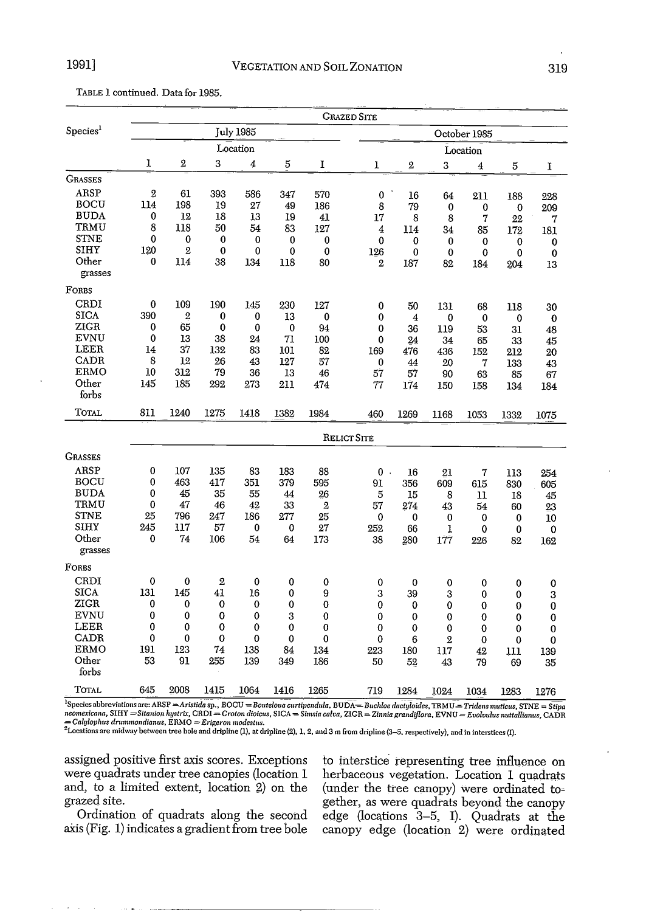|  | TABLE 1 continued. Data for 1985. |  |  |
|--|-----------------------------------|--|--|
|--|-----------------------------------|--|--|

|                      |             |                |             |           |             |              | <b>GRAZED SITE</b> |                |                |              |          |             |
|----------------------|-------------|----------------|-------------|-----------|-------------|--------------|--------------------|----------------|----------------|--------------|----------|-------------|
| Species <sup>1</sup> |             |                |             | July 1985 |             |              |                    |                |                | October 1985 |          |             |
|                      |             |                |             | Location  |             |              |                    |                |                | Location     |          |             |
|                      | 1           | $\mathbf{2}$   | 3           | 4         | 5           | I            | 1                  | $\overline{2}$ | 3              | 4            | 5        | 1           |
| <b>GRASSES</b>       |             |                |             |           |             |              |                    |                |                |              |          |             |
| ARSP                 | $\mathbf 2$ | 61             | 393         | 586       | 347         | 570          | $\bf{0}$           | 16             | 64             | 211          | 188      | 228         |
| <b>BOCU</b>          | 114         | 198            | 19          | 27        | 49          | 186          | 8                  | 79             | 0              | 0            | 0        | 209         |
| <b>BUDA</b>          | 0           | 12             | 18          | 13        | 19          | 41           | 17                 | 8              | 8              | 7            | 22       | 7           |
| TRMU                 | 8           | 118            | 50          | 54        | 83          | 127          | 4                  | 114            | 34             | 85           | 172      | 181         |
| <b>STNE</b>          | 0           | $\bf{0}$       | 0           | 0         | 0           | 0            | 0                  | 0              | $\bf{0}$       | 0            | 0        | 0           |
| SIHY                 | 120         | $\mathbf{2}$   | $\bf{0}$    | 0         | $\bf{0}$    | $\bf{0}$     | 126                | 0              | $\bf{0}$       | 0            | 0        | $\mathbf 0$ |
| Other<br>grasses     | 0           | 114            | 38          | 134       | 118         | 80           | $\overline{2}$     | 187            | 82             | 184          | 204      | 13          |
| FORBS                |             |                |             |           |             |              |                    |                |                |              |          |             |
| CRDI                 | 0           | 109            | 190         | 145       | 230         | 127          | 0                  | 50             | 131            | 68           | 118      | 30          |
| <b>SICA</b>          | 390         | $\overline{2}$ | 0           | 0         | 13          | 0            | 0                  | 4              | 0              | 0            | 0        | 0           |
| ZIGR                 | $\bf{0}$    | 65             | 0           | 0         | $\bf{0}$    | 94           | 0                  | 36             | 119            | 53           | 31       | 48          |
| EVNU                 | 0           | 13             | 38          | 24        | 71          | 100          | 0                  | 24             | 34             | 65           | 33       | 45          |
| LEER                 | 14          | 37             | 132         | 83        | 101         | 82           | 169                | 476            | 436            | 152          | 212      | 20          |
| CADR                 | 8           | 12             | 26          | 43        | 127         | 57           | 0                  | 44             | 20             | 7            | 133      | 43          |
| ERMO                 | 10          | 312            | 79          | 36        | 13          | 46           | 57                 | 57             | 90             | 63           | 85       | 67          |
| Other                | 145         | 185            | 292         | 273       | 211         | 474          | 77                 | 174            | 150            | 158          | 134      | 184         |
| forbs                |             |                |             |           |             |              |                    |                |                |              |          |             |
| TOTAL                | 811         | 1240           | 1275        | 1418      | 1382        | 1984         | 460                | 1269           | 1168           | 1053         | 1332     | 1075        |
|                      |             |                |             |           |             |              | <b>RELICT SITE</b> |                |                |              |          |             |
| <b>GRASSES</b>       |             |                |             |           |             |              |                    |                |                |              |          |             |
| ARSP                 | 0           | 107            | 135         | 83        | 183         | 88           | 0                  | 16<br>$\sim$   | 21             | 7            | 113      | 254         |
| <b>BOCU</b>          | 0           | 463            | 417         | 351       | 379         | 595          | 91                 | 356            | 609            | 615          | 830      | 605         |
| <b>BUDA</b>          | 0           | 45             | 35          | 55        | 44          | 26           | 5                  | 15             | 8              | 11           | 18       | 45          |
| TRMU                 | 0           | 47             | 46          | 42        | 33          | $\mathbf{2}$ | 57                 | 274            | 43             | 54           | 60       | 23          |
| <b>STNE</b>          | 25          | 796            | 247         | 186       | 277         | 25           | 0                  | 0              | 0              | 0            | 0        | 10          |
| <b>SIHY</b>          | 245         | 117            | 57          | 0         | 0           | 27           | 252                | 66             | I              | 0            | $\bf{0}$ | 0           |
| Other                | 0           | 74             | 106         | 54        | 64          | 173          | 38                 | 280            | 177            | 226          | 82       | 162         |
| grasses              |             |                |             |           |             |              |                    |                |                |              |          |             |
| FORBS                |             |                |             |           |             |              |                    |                |                |              |          |             |
| CRDI                 | 0           | $\bf{0}$       | $\mathbf 2$ | $\bf{0}$  | 0           | 0            | 0                  | 0              | 0              | 0            | 0        | 0           |
| <b>SICA</b>          | 131         | 145            | 41          | 16        | 0           | 9            | 3                  | 39             | 3              | $\bf{0}$     | 0        | 3           |
| ZIGR                 | 0           | 0              | 0           | 0         | 0           | 0            | 0                  | 0              | 0              | 0            | 0        | 0           |
| EVNU                 | 0           | 0              | 0           | 0         | 3           | 0            | 0                  | 0              | 0              | 0            | 0        | 0           |
| LEER                 | 0           | 0              | 0           | 0         | 0           | 0            | 0                  | 0              | 0              | $\bf{0}$     | $\bf{0}$ | 0           |
| CADR                 | 0           | $\bf{0}$       | 0           | 0         | $\mathbf 0$ | 0            | 0                  | 6              | $\overline{2}$ | 0            | 0        | 0           |
| <b>ERMO</b>          | 191         | 123            | 74          | 138       | 84          | 134          | 223                | 180            | 117            | 42           | 111      | 139         |
| Other                | 53          | 91             | 255         | 139       | 349         | 186          | 50                 | 52             | 43             | 79           | 69       | 35          |
| forbs                |             |                |             |           |             |              |                    |                |                |              |          |             |
| Total                | 645         | 2008           | 1415        | 1064      | 1416        | 1265         | 719                | 1284           | 1024           | 1034         | 1283     | 1276        |

 $^{1}$ Species abbreviations are: ARSP = Aristida sp., BOCU = Bouteloua curtipendula, BUDA= Buchloe dactyloides, TRMU = Tridens muticus, STNE = Stipa neomexicana, SIHY =Sitanion hystrix, CRDI =Croton dioicus, SICA = Simsia calva, ZICR = Zinnia grandiflora, EVNU = Evolvulus nuttallianus, CADR<br>= Calylophus drummondianus, ERMO = Erigeron modestus.<br>"Locations are midway bet

were quadrats under tree canopies (location 1 herbaceous vegetation. Location 1 quadrats and, to a limited extent, location 2) on the (under the tree canopy) were ordinated to-

assigned positive first axis scores. Exceptions to interstice representing tree influence on were quadrats under tree canopies (location 1 herbaceous vegetation. Location 1 quadrats and, to a limited extent, location  $2$ ) on the (under the tree canopy) were ordinated to-<br>grazed site. grazed several as were quadrats beyond the canopy grazed site. gether, as were quadrats beyond the canopy Ordination of quadrats along the second edge (locations 3–5, I). Quadrats at the axis (Fig. 1) indicates a gradient from tree bole canopy edge (location-2) were ordinated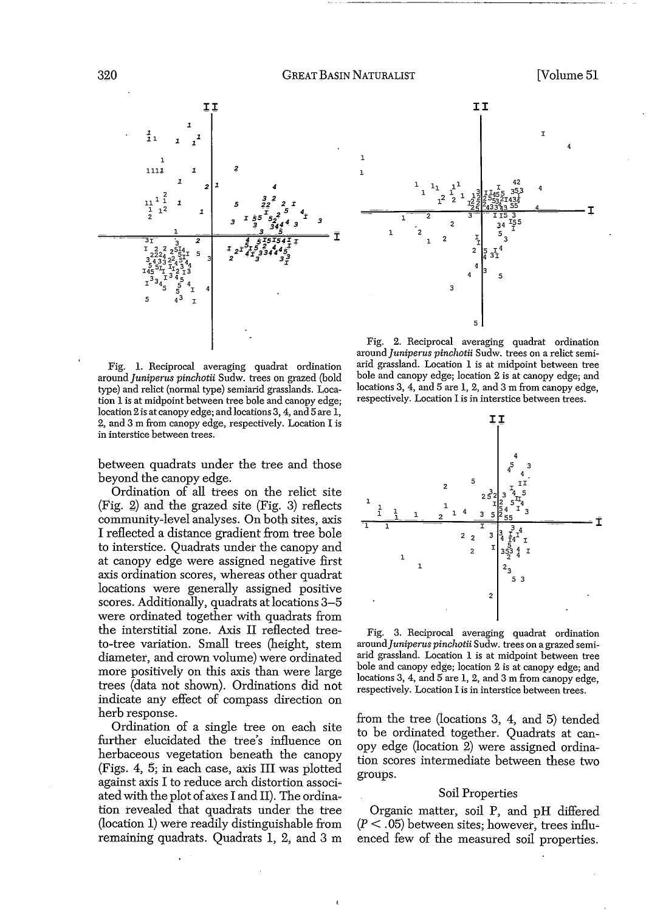

Fig. 1. Reciprocal averaging quadrat ordination *around]uniperus pinchotii* Sudw. trees on grazed (bold type) and relict (normal type) semiarid grasslands. Location 1 is at midpoint between tree bole and canopy edge; location 2 is at canopy edge; and locations 3, 4, and 5 are 1, 2, and 3 m from canopy edge, respectively. Location I is in interstice between trees.

between quadrats under the tree and those beyond the canopy edge.

Ordination of all trees on the relict site (Fig. 2) and the grazed site (Fig. 3) reflects community-level analyses. On both sites, axis I reflected a distance gradient from tree bole to interstice. Quadrats under the canopy and at canopy edge were assigned negative first axis ordination scores, whereas other quadrat locations were generally assigned positive scores. Additionally, quadrats at locations 3-5 were ordinated together with quadrats from the interstitial zone. Axis II reflected treeto-tree variation. Small trees (height, stem diameter, and crown volume) were ordinated more positively on this axis than Were large trees (data not shown). Ordinations did not indicate any effect of compass direction on herb response.

Ordination of a single tree on each site further elucidated the tree's influence on herbaceous vegetation beneath the canopy (Figs. 4, 5; in each case, axis **III** was plotted against axis I to reduce arch distortion associ~ ated with the plot of axes I and II). The ordination revealed that quadrats under the tree (location 1) were readily distinguishable from remaining quadrats. Quadrats 1, 2, and 3 m



Fig. 2. Reciprocal averaging quadrat ordination *around]uniperus pinchotii* Sudw. trees on a relict semiarid grassland. Location 1 is at midpoint between tree bole and canopy edge; location 2 is at canopy edge; and locations 3, 4, and 5 are 1, 2, and 3 m from canopy edge, respectively. Location 1 is in interstice between trees.



Fig. 3. Reciprocal averaging quadrat ordination *around]uniperus pinchotii* Sudw. trees on a grazed semiarid grassland. Location 1 is at midpoint between tree bole and canopy edge; location 2 is at canopy edge; and locations 3, 4, and 5 are 1, 2, and 3 m from canopy edge, respectively. Location 1is in interstice between trees.

from the tree (locations 3, 4, and 5) tended to be ordinated together. Quadrats at canopy edge (location 2) were assigned ordination scores intermediate between these two groups.

#### Soil Properties

Organic matter, soil P, and pH differed  $(P < .05)$  between sites; however, trees influenced few of the measured soil properties.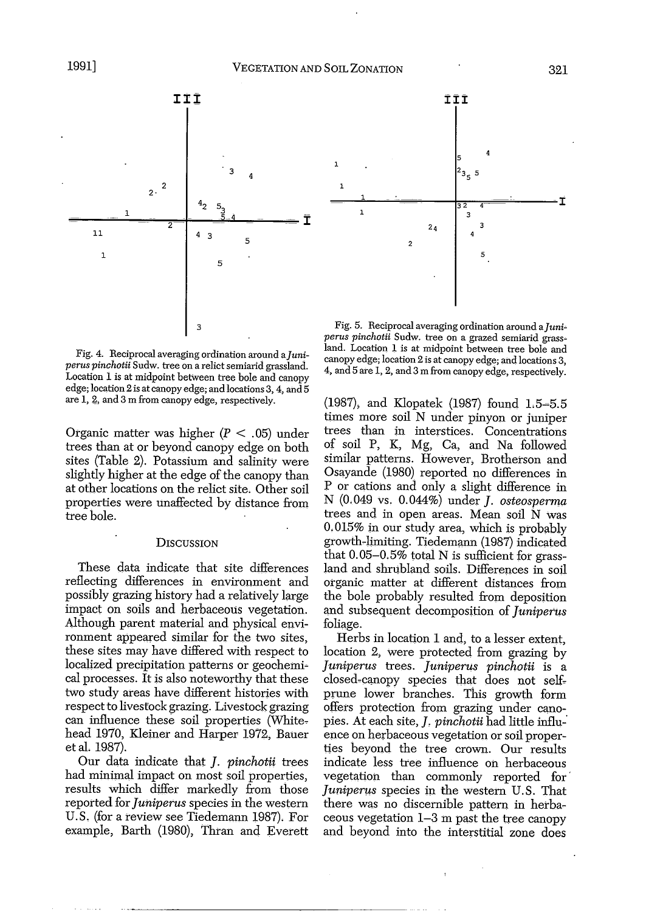

Fig. 4. Reciprocal averaging ordination around *aJuniperus pinchotii* Sudw. tree on a relict semiarid grassland. Location 1 is at midpoint between tree bole and canopy edge; location 2 is at canopy edge; and locations 3, 4, and 5 are 1, g, and 3 m from canopy edge, respectively.

Organic matter was higher  $(P < .05)$  under trees than at or beyond canopy edge on both sites (Table 2). Potassium and salinity were slightly higher at the edge of the canopy than at other locations on the relict site. Other soil properties were unaffected by distance from tree bole.

### **DISCUSSION**

These data indicate that site differences reflecting differences in environment and possibly grazing history had a relatively large impact on soils and herbaceous vegetation. Although parent material and physical environment appeared similar for the two sites, these sites may have differed with respect to localized precipitation patterns or geochemical processes. It is also noteworthy that these two study areas have different histories with respect to livestock grazing. Livestock grazing can influence these soil properties (Whitehead 1970, Kleiner and Harper 1972, Bauer et al. 1987).

Our data indicate that J. *pinchotii* trees had minimal impact on most soil properties, results which differ markedly from those reported for *juniperus* species in the western U.S. (for a review see Tiedemann 1987). For example, Barth (1980), Thran and Everett



**III**

 $\frac{1}{32 \cdot 4}$ 

 $2<sub>4</sub>$ 

 $\mathcal{P}$ 

3

5

(1987), and Klopatek (1987) found L5~5.5 times more soil N under pinyon or juniper trees than in interstices. Concentrations of soil P, K, Mg, Ca, and Na followed similar patterns. However, Brotherson and Osayande (1980) reported no differences in P or cations and only a slight difference in N (0.049 vs. 0.044%) under *j. osteosperma* trees and in open areas. Mean soil N Was 0.015% in our study area, which is probably growth-limiting. Tiedemann (1987) indicated that 0.05-0.5% total N is sufficient for grassland and shrubland soils. Differences in soil organic matter at different distances from the bole probably resulted from deposition and subsequent decomposition of *juniperus* foliage.

Herbs in location 1 and, to a lesser extent, location 2, were protected from grazing by *juniperus* trees. *juniperus pinchotii* is a closed-canopy species that does not selfprune lower branches. This growth form offers protection from grazing under canopies. At each site,]. *pinchotii* had little influ-' ence on herbaceous vegetation or soil properties beyond the tree crown. Our results indicate less tree influence on herbaceous vegetation than commonly reported for' *juniperus* species in the western U.S. That there was no discernible pattern in herbaceous vegetation 1-3 m past the tree canopy and beyond into the interstitial zone does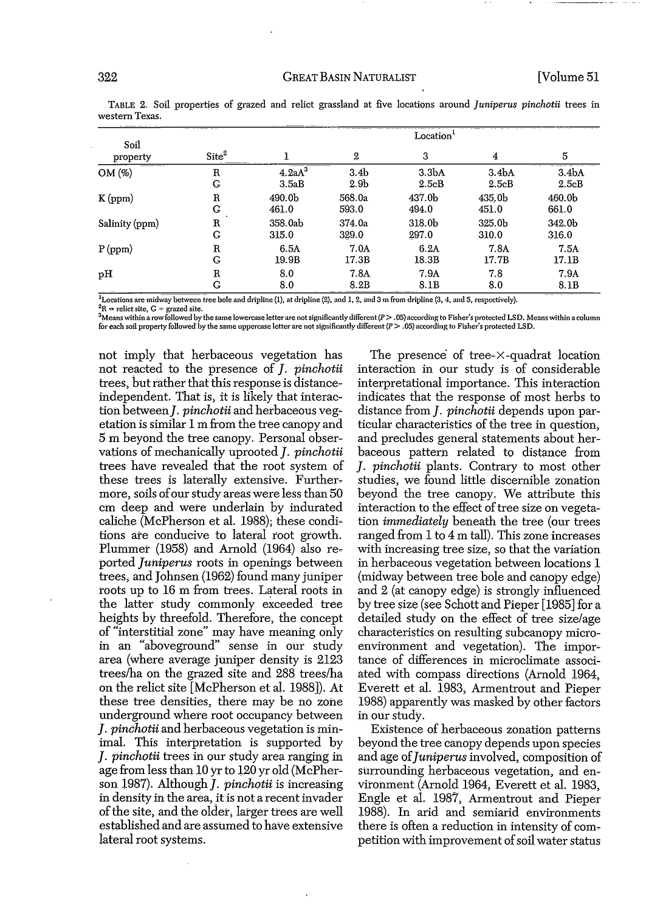#### 322 GREAT BASIN NATURALIST [Volume 51

| Soil           | Location <sup>1</sup> |                    |                  |                    |                    |                   |  |  |  |  |  |
|----------------|-----------------------|--------------------|------------------|--------------------|--------------------|-------------------|--|--|--|--|--|
| property       | Site <sup>2</sup>     |                    | 2                | 3                  | 4                  | 5                 |  |  |  |  |  |
| OM(%)          | R                     | 4.2aA <sup>3</sup> | 3.4 <sub>b</sub> | 3.3 <sub>b</sub> A | 3.4 <sub>b</sub> A | 3.4 <sub>bA</sub> |  |  |  |  |  |
|                | G                     | 3.5aB              | 2.9 <sub>b</sub> | 2.5cB              | 2.5cB              | 2.5cB             |  |  |  |  |  |
| K(ppm)         | Ŗ                     | 490.0b             | 568.0a           | 437.0b             | 435.0b             | 460.0b            |  |  |  |  |  |
|                | G                     | 461.0              | 593.0            | 494.0              | 451.0              | 661.0             |  |  |  |  |  |
| Salinity (ppm) | $\mathbf R$           | 358.0ab            | 374.0a           | 318.0b             | 325.0b             | 342.0b            |  |  |  |  |  |
|                | G                     | 315.0              | 329.0            | 297.0              | 310.0              | 316.0             |  |  |  |  |  |
| P(ppm)         | R                     | 6.5A               | 7.0A             | 6.2A               | 7.8A               | 7.5A              |  |  |  |  |  |
|                | G                     | 19.9B              | 17.3B            | 18.3B              | 17.7B              | 17.1B             |  |  |  |  |  |
| рH             | R                     | 8.0                | 7.8 <sub>A</sub> | 7.9A               | 7.8                | 7.9A              |  |  |  |  |  |
|                | G                     | 8.0                | 8.2B             | 8.1B               | 8.0                | 8.1B              |  |  |  |  |  |

TABLE 2. Soil properties of grazed and relict grassland at five locations around *Juniperus pinchotii* trees in western Texas.

<sup>1</sup>Locations are midway between tree bole and dripline (1), at dripline (2), and 1, 2, and 3 m from dripline (3, 4, and 5, respectively). **2R** ~: **relictsite, C = grazed site.**

 ${}^{3}$ Means within a row followed by the same lowercase letter are not significantly different ( $P > .05$ ) according to Fisher's protected LSD. Means within a column for each soil property followed by the same uppercase letter are not significantly different  $(P > .05)$  according to Fisher's protected LSD.

not imply that herbaceous vegetation has not reacted to the presence of *J. pinchotii* trees, but rather that this response is distanceindependent. That is, it is likely that interaction between *J. pinchotii* and herbaceous vegetation is similar 1 m from the tree canopy and 5 m beyond the tree canopy. Personal observations of mechanically uprooted J. *pinchotii* trees have revealed that the root system of these trees is laterally extensive. Furthermore, soils of our study areas were less than 50 cm deep and were underlain by indurated caliche (McPherson et al. 1988); these condi~ tions are conducive to lateral root growth. Plummer (1958) and Arnold (1964) also reported *Juniperus* roots in openings between trees, and Johnsen (1962) found many juniper roots up to 16 m from trees. Lateral roots in the latter study commonly exceeded tree heights by threefold. Therefore, the concept of "interstitial zone" may have meaning only in an "aboveground" sense in our study area (where average juniper density is 2123 treeslha On the grazed site and 288 trees/ha on the relict site [McPherson et aI. 1988]). At these tree densities, there may be no zone underground where root occupancy between ]. *pinchotii* and herbaceous vegetation is minimal. This interpretation is supported by ]. *pinchotii* trees in our study area ranging in age from less than 10 yr to 120 yr old (McPher~ son 1987). Although *J. pinchotii* is increasing in density in the area, it is not a recent invader ofthe site, and the older, larger trees are well established and are assumed to have extensive lateral root systems.

The presence' of tree~X -quadrat location interaction in our study is of considerable interpretational importance. This interaction indicates that the response of most herbs to distance from *J. pinchotii* depends upon particular characteristics of the tree in question, and precludes general statements about herbaceous pattern related to distance from ]. *pinchotii* plants. Contrary to most other studies, we found little discernible zonation beyond the tree canopy. We attribute this interaction to the effect of tree size on vegetation *immediately* beneath the tree (our trees ranged from 1 to 4 m tall). This zone increases with increasing tree size, so that the variation in herbaceous vegetation between locations 1 (midway between tree bole and canopy edge) and 2 (at canopy edge) is strongly influenced by tree size (see Schott and Pieper [1985] for a detailed study on the effect of tree size/age characteristics on resulting subcanopy microenvironment and vegetation). The importance of differences in microclimate associated with compass directions (Arnold 1964, Everett et al. 1983, Armentrout and Pieper 1988) apparently was masked by other factors in our study.

EXistence of herbaceous zonation patterns beyond the tree canopy depends upon species and age *of]uniperus*involved, composition of surrounding herbaceous vegetation, and environment (Arnold 1964, Everett et al. 1983, Engle et al. 1987, Armentrout and Pieper 1988). In arid and semiarid environments there is often a reduction in intensity of competition with improvement of soil water status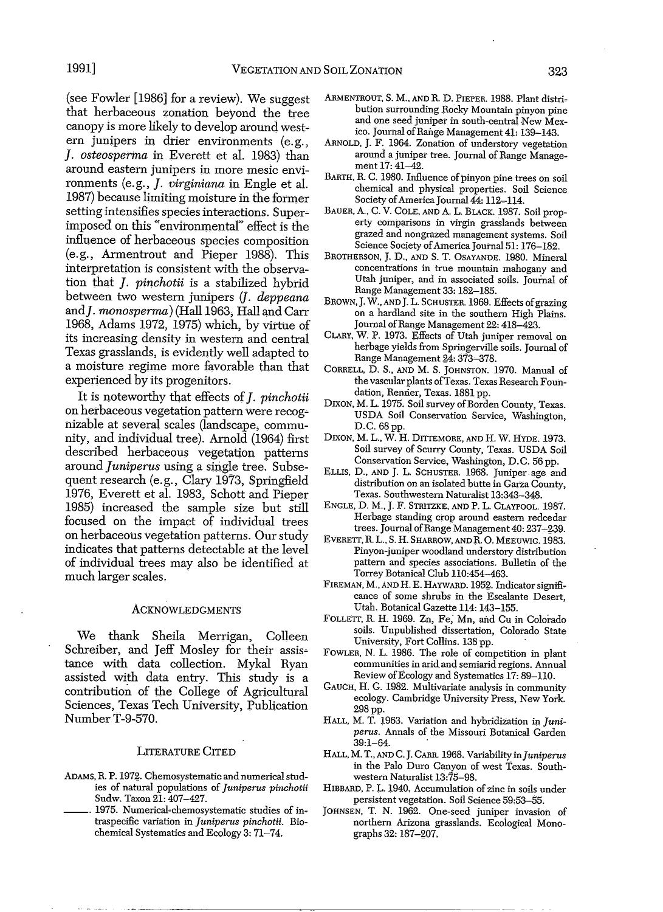(see Fowler [1986] for a review). We suggest that herbaceous zonation beyond the tree canopy is more likely to develop around west~ ern junipers in drier environments (e.g., ]. *osteosperma* in Everett et al. 1983) than around eastern junipers in more mesic environments (e.g.,]. *virginiana* in Engle et al. 1987) because limiting moisture in the former setting intensifies species interactions. Super~ imposed on this "environmental" effect is the influence of herbaceous species composition (e.g., Armentrout and Pieper 1988). This interpretation is consistent with the observation that ]. *pinchotii* is a stabilized hybrid between two western junipers (J. *deppeana* and]. *monosperma)* (Hall 1963; Hall and Carr 1968, Adams 1972, 1975) which, by virtue of its increasing density in western and central Texas grasslands, is evidently well adapted to a moisture regime more favorable than that experienced by its progenitors.

It is noteworthy that effects of]. *pinchotii* on herbaceous vegetation pattern Were recog~ nizable at several scales (landscape, community, and individual tree). Arnold (1964) first described herbaceous vegetation patterns around *Juniperus* using a single tree: Subsequent research (e.g., Clary 1973, Springfield 1976, Everett et al. 1983, Schott and Pieper 1985) increased the sample size but still focused on the impact of individual trees on herbaceous vegetation patterns. Ourstudy indicates that patterns detectable at the level of individual trees may also be identified at much larger scales.

#### **ACKNOWLEDGMENTS**

We thank Sheila Merrigan, Colleen Schreiber, and Jeff Mosley for their assistance with data collection. Mykal Ryan assisted with data entry. This study is a contribution of the College of Agricultural Sciences, Texas Tech University, Publication Number T-9-570.

#### LITERATURE CITED

- ADAMS, R. P. 1972. Chemosystematic and numerical studies of natural populations of *Juniperus pinchotii* Sudw. Taxon 21: 407-427.
- 1975. Numerical-chemosystematic studies of intraspecific variation in *Juniperus pinchotii.* Biochemical Systematics and Ecology 3: 71-74.
- ARMENTROUT, S. M., AND R. D. PIEPER. 1988. Plant distribution surrounding Rocky Mountain pinyon pine and one seed juniper in south-central New Mexico. Journal of Range Management 41: 139-143.
- ARNOLD, J. F. 1964. Zonation of understory vegetation around a juniper tree. Journal of Range Management  $17:41-42$ .
- BARTH, R. C. 1980. Influence of pinyon pine trees on soil chemical and physical properties. Soil Science Society of America Journal 44: 112-114.
- BAUER, *A.,* C. V. COLE, AND A. L. BLACK. 1987. Soil property comparisons in virgin grasslands between grazed and nongrazed management systems. Soil Science Society of America Journal 51: 176-182.
- BROTHERSON, J. D., AND S. T. OSAYANDE. 1980. Mineral concentrations in true mountain mahogany and Utah juniper, and in associated soils. Journal of Range Management 33: 182-185.
- BROWN, J. W., AND J. L. SCHUSTER. 1969. Effects of grazing on a hardland site in the southern High Plains. Journal of Range Management 22: 418-423.
- CLARY, W. P. 1973. Effects of Utah juniper removal on herbage yields from Springerville soils. Journal of Range Management 24: 373-378.
- CORRELL, D. S., AND M. S. JOHNSTON. 1970. Manual of the vascular plants ofTexas. Texas Research Foundation, Renner, Texas. 1881 pp.
- DIXON, M. L. 1975. Soil survey of Borden County, Texas. USDA Soil Conservation Service, Washington, D.C. 68 pp.
- DIXON, M. L., W. H. DITIEMORE, AND H. W. HYDE. 1973. Soil survey of Scurry County, Texas. USDA Soil Conservation Service, Washington, D.C. 56 pp.
- ELLIS, D., AND J. L. SCHUSTER. 1968. Juniper. age and distribution on an isolated butte in Garza County, Texas. Southwestern Naturalist 13:343-348.
- ENGLE, D. M., J. F. STRITZKE, AND P. L. CLAYPOOL. 1987. Herbage standing crop around eastern redcedar trees. Journal of Range Management 40: 237-239.
- EVERETT, R. L., S. H. SHARROW, AND R. O. MEEUWIG. 1983. Pinyon-juniper woodland understory distribution pattern and species associations. Bulletin of the Torrey Botanical Club 110:454-463.
- FIREMAN, M., AND H. E. HAYWARD. 1952. Indicator significance of some shrubs in the Escalante Desert, Utah. Botanical Gazette 114: 143-155.
- FOLLETT, R. H. 1969. Zn, Fe; Mn, and Cu in Colorado soils. Unpublished dissertation, Colorado State University, Fort Collins. 138 pp. .
- FOWLER, N. L. 1986. The role of competition in plant communities in arid and semiarid regions. Annual Review of Ecology and Systematics 17: 89-110.
- GAUCH, H. G. 1982. Multivariate analysis in community ecology. Cambridge University Press, New York. 298 pp.
- HALL, M. T. 1963. Variation and hybridization in *Juniperus.* Annals of the Missouri Botanical Garden 39:1-64. .
- HALL, M. T., AND C. J. CARR. 1968. Variability in*Juniperus* in the Palo Duro Canyon of west Texas. Southwestern Naturalist 13:75-98.
- HIBBARD, P. L. 1940. Accumulation of zinc in soils under persistent vegetation. Soil Science 59:53-55.
- JOHNSEN, T. N. 1962. One-seed juniper invasion of northern Arizona grasslands. Ecological Monographs 32: 187-207.